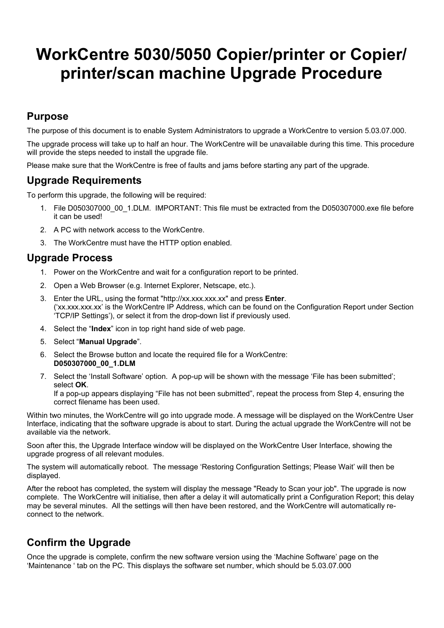# **WorkCentre 5030/5050 Copier/printer or Copier/ printer/scan machine Upgrade Procedure**

## **Purpose**

The purpose of this document is to enable System Administrators to upgrade a WorkCentre to version 5.03.07.000.

The upgrade process will take up to half an hour. The WorkCentre will be unavailable during this time. This procedure will provide the steps needed to install the upgrade file.

Please make sure that the WorkCentre is free of faults and jams before starting any part of the upgrade.

#### **Upgrade Requirements**

To perform this upgrade, the following will be required:

- 1. File D050307000\_00\_1.DLM. IMPORTANT: This file must be extracted from the D050307000.exe file before it can be used!
- 2. A PC with network access to the WorkCentre.
- 3. The WorkCentre must have the HTTP option enabled.

#### **Upgrade Process**

- 1. Power on the WorkCentre and wait for a configuration report to be printed.
- 2. Open a Web Browser (e.g. Internet Explorer, Netscape, etc.).
- 3. Enter the URL, using the format "http://xx.xxx.xxx.xx" and press **Enter**. ('xx.xxx.xxx.xx' is the WorkCentre IP Address, which can be found on the Configuration Report under Section 'TCP/IP Settings'), or select it from the drop-down list if previously used.
- 4. Select the "**Index**" icon in top right hand side of web page.
- 5. Select "**Manual Upgrade**".
- 6. Select the Browse button and locate the required file for a WorkCentre: **D050307000\_00\_1.DLM**
- 7. Select the 'Install Software' option. A pop-up will be shown with the message 'File has been submitted'; select **OK**.

If a pop-up appears displaying "File has not been submitted", repeat the process from Step 4, ensuring the correct filename has been used.

Within two minutes, the WorkCentre will go into upgrade mode. A message will be displayed on the WorkCentre User Interface, indicating that the software upgrade is about to start. During the actual upgrade the WorkCentre will not be available via the network.

Soon after this, the Upgrade Interface window will be displayed on the WorkCentre User Interface, showing the upgrade progress of all relevant modules.

The system will automatically reboot. The message 'Restoring Configuration Settings; Please Wait' will then be displayed.

After the reboot has completed, the system will display the message "Ready to Scan your job". The upgrade is now complete. The WorkCentre will initialise, then after a delay it will automatically print a Configuration Report; this delay may be several minutes. All the settings will then have been restored, and the WorkCentre will automatically reconnect to the network.

## **Confirm the Upgrade**

Once the upgrade is complete, confirm the new software version using the 'Machine Software' page on the 'Maintenance ' tab on the PC. This displays the software set number, which should be 5.03.07.000